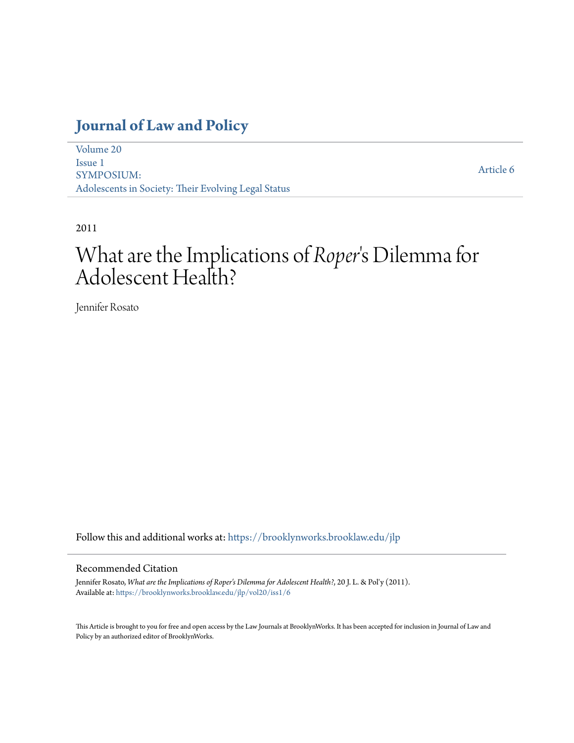# **[Journal of Law and Policy](https://brooklynworks.brooklaw.edu/jlp?utm_source=brooklynworks.brooklaw.edu%2Fjlp%2Fvol20%2Fiss1%2F6&utm_medium=PDF&utm_campaign=PDFCoverPages)**

[Volume 20](https://brooklynworks.brooklaw.edu/jlp/vol20?utm_source=brooklynworks.brooklaw.edu%2Fjlp%2Fvol20%2Fiss1%2F6&utm_medium=PDF&utm_campaign=PDFCoverPages) [Issue 1](https://brooklynworks.brooklaw.edu/jlp/vol20/iss1?utm_source=brooklynworks.brooklaw.edu%2Fjlp%2Fvol20%2Fiss1%2F6&utm_medium=PDF&utm_campaign=PDFCoverPages) SYMPOSIUM: Adolescents in Society: Their Evolving Legal Status

[Article 6](https://brooklynworks.brooklaw.edu/jlp/vol20/iss1/6?utm_source=brooklynworks.brooklaw.edu%2Fjlp%2Fvol20%2Fiss1%2F6&utm_medium=PDF&utm_campaign=PDFCoverPages)

2011

# What are the Implications of *Roper* 's Dilemma for Adolescent Health?

Jennifer Rosato

Follow this and additional works at: [https://brooklynworks.brooklaw.edu/jlp](https://brooklynworks.brooklaw.edu/jlp?utm_source=brooklynworks.brooklaw.edu%2Fjlp%2Fvol20%2Fiss1%2F6&utm_medium=PDF&utm_campaign=PDFCoverPages)

# Recommended Citation

Jennifer Rosato, *What are the Implications of Roper's Dilemma for Adolescent Health?*, 20 J. L. & Pol'y (2011). Available at: [https://brooklynworks.brooklaw.edu/jlp/vol20/iss1/6](https://brooklynworks.brooklaw.edu/jlp/vol20/iss1/6?utm_source=brooklynworks.brooklaw.edu%2Fjlp%2Fvol20%2Fiss1%2F6&utm_medium=PDF&utm_campaign=PDFCoverPages)

This Article is brought to you for free and open access by the Law Journals at BrooklynWorks. It has been accepted for inclusion in Journal of Law and Policy by an authorized editor of BrooklynWorks.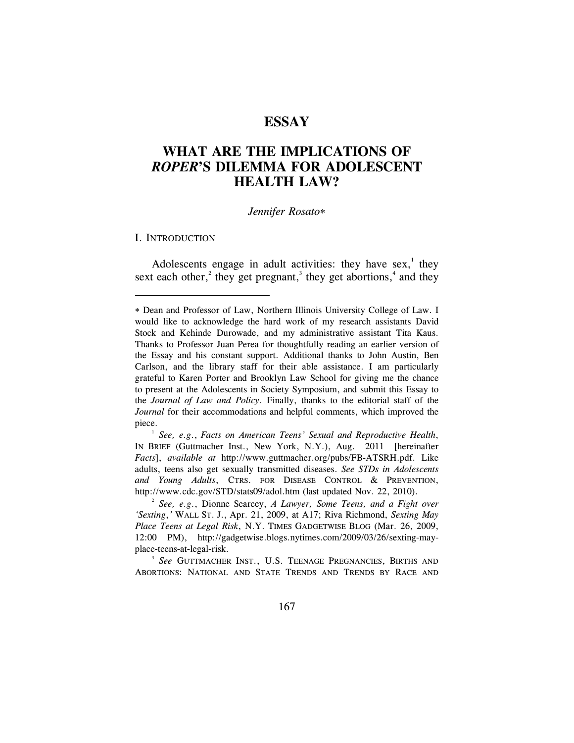# **ESSAY**

# **WHAT ARE THE IMPLICATIONS OF**  *ROPER***'S DILEMMA FOR ADOLESCENT HEALTH LAW?**

# *Jennifer Rosato*

#### I. INTRODUCTION

 $\overline{a}$ 

Adolescents engage in adult activities: they have  $sex$ , they sext each other, $3$  they get pregnant, $3$  they get abortions, $4$  and they

*See, e.g*., *Facts on American Teens' Sexual and Reproductive Health*, IN BRIEF (Guttmacher Inst., New York, N.Y.), Aug. 2011 [hereinafter *Facts*], *available at* http://www.guttmacher.org/pubs/FB-ATSRH.pdf. Like adults, teens also get sexually transmitted diseases. *See STDs in Adolescents and Young Adults*, CTRS. FOR DISEASE CONTROL & PREVENTION, http://www.cdc.gov/STD/stats09/adol.htm (last updated Nov. 22, 2010). 2 *See, e.g*., Dionne Searcey, *A Lawyer, Some Teens, and a Fight over* 

*'Sexting*,*'* WALL ST. J., Apr. 21, 2009, at A17; Riva Richmond, *Sexting May Place Teens at Legal Risk*, N.Y. TIMES GADGETWISE BLOG (Mar. 26, 2009, 12:00 PM), http://gadgetwise.blogs.nytimes.com/2009/03/26/sexting-mayplace-teens-at-legal-risk. 3 *See* GUTTMACHER INST., U.S. TEENAGE PREGNANCIES, BIRTHS AND

ABORTIONS: NATIONAL AND STATE TRENDS AND TRENDS BY RACE AND

Dean and Professor of Law, Northern Illinois University College of Law. I would like to acknowledge the hard work of my research assistants David Stock and Kehinde Durowade, and my administrative assistant Tita Kaus. Thanks to Professor Juan Perea for thoughtfully reading an earlier version of the Essay and his constant support. Additional thanks to John Austin, Ben Carlson, and the library staff for their able assistance. I am particularly grateful to Karen Porter and Brooklyn Law School for giving me the chance to present at the Adolescents in Society Symposium, and submit this Essay to the *Journal of Law and Policy*. Finally, thanks to the editorial staff of the *Journal* for their accommodations and helpful comments, which improved the piece.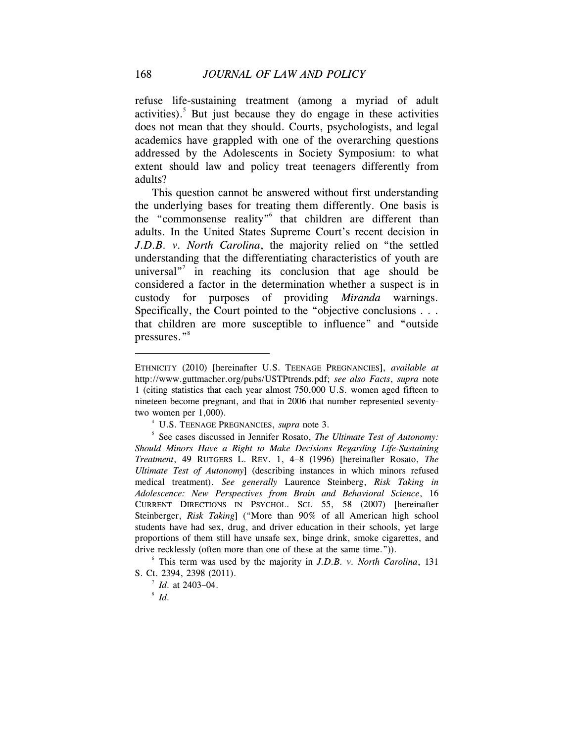refuse life-sustaining treatment (among a myriad of adult activities).<sup>5</sup> But just because they do engage in these activities does not mean that they should. Courts, psychologists, and legal academics have grappled with one of the overarching questions addressed by the Adolescents in Society Symposium: to what extent should law and policy treat teenagers differently from adults?

This question cannot be answered without first understanding the underlying bases for treating them differently. One basis is the "commonsense reality" that children are different than adults. In the United States Supreme Court's recent decision in *J.D.B. v. North Carolina*, the majority relied on "the settled understanding that the differentiating characteristics of youth are universal"<sup>7</sup> in reaching its conclusion that age should be considered a factor in the determination whether a suspect is in custody for purposes of providing *Miranda* warnings. Specifically, the Court pointed to the "objective conclusions . . . that children are more susceptible to influence" and "outside pressures."<sup>8</sup>

ETHNICITY (2010) [hereinafter U.S. TEENAGE PREGNANCIES], *available at*  http://www.guttmacher.org/pubs/USTPtrends.pdf; *see also Facts*, *supra* note 1 (citing statistics that each year almost 750,000 U.S. women aged fifteen to nineteen become pregnant, and that in 2006 that number represented seventytwo women per 1,000).<br><sup>4</sup> U.S. TEENAGE PREGNANCIES, *supra* note 3.

<sup>&</sup>lt;sup>5</sup> See cases discussed in Jennifer Rosato, *The Ultimate Test of Autonomy*: *Should Minors Have a Right to Make Decisions Regarding Life-Sustaining Treatment*, 49 RUTGERS L. REV. 1, 4–8 (1996) [hereinafter Rosato, *The Ultimate Test of Autonomy*] (describing instances in which minors refused medical treatment). *See generally* Laurence Steinberg, *Risk Taking in Adolescence: New Perspectives from Brain and Behavioral Science*, 16 CURRENT DIRECTIONS IN PSYCHOL. SCI. 55, 58 (2007) [hereinafter Steinberger, *Risk Taking*] ("More than 90% of all American high school students have had sex, drug, and driver education in their schools, yet large proportions of them still have unsafe sex, binge drink, smoke cigarettes, and drive recklessly (often more than one of these at the same time.")).<br><sup>6</sup> This term was used by the majority in *J.D.B. v. North Carolina*, 131

S. Ct. 2394, 2398 (2011). 7

<sup>&</sup>lt;sup>7</sup> Id. at 2403-04.

*Id.*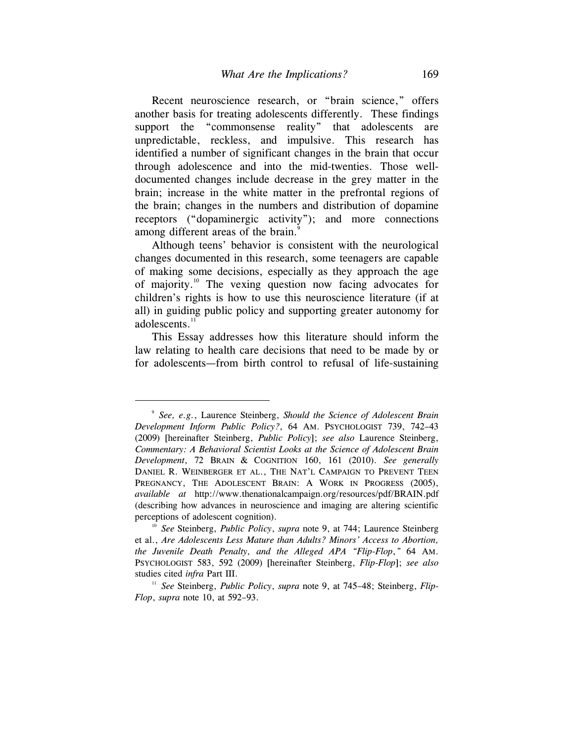Recent neuroscience research, or "brain science," offers another basis for treating adolescents differently. These findings support the "commonsense reality" that adolescents are unpredictable, reckless, and impulsive. This research has identified a number of significant changes in the brain that occur through adolescence and into the mid-twenties. Those welldocumented changes include decrease in the grey matter in the brain; increase in the white matter in the prefrontal regions of the brain; changes in the numbers and distribution of dopamine receptors ("dopaminergic activity"); and more connections among different areas of the brain.<sup>9</sup>

Although teens' behavior is consistent with the neurological changes documented in this research, some teenagers are capable of making some decisions, especially as they approach the age of majority.10 The vexing question now facing advocates for children's rights is how to use this neuroscience literature (if at all) in guiding public policy and supporting greater autonomy for adolescents.<sup>11</sup>

This Essay addresses how this literature should inform the law relating to health care decisions that need to be made by or for adolescents—from birth control to refusal of life-sustaining

<sup>9</sup> *See, e.g.*, Laurence Steinberg, *Should the Science of Adolescent Brain Development Inform Public Policy?*, 64 AM. PSYCHOLOGIST 739, 742–43 (2009) [hereinafter Steinberg, *Public Policy*]; *see also* Laurence Steinberg, *Commentary: A Behavioral Scientist Looks at the Science of Adolescent Brain Development*, 72 BRAIN & COGNITION 160, 161 (2010). *See generally* DANIEL R. WEINBERGER ET AL., THE NAT'L CAMPAIGN TO PREVENT TEEN PREGNANCY, THE ADOLESCENT BRAIN: A WORK IN PROGRESS (2005), *available at* http://www.thenationalcampaign.org/resources/pdf/BRAIN.pdf (describing how advances in neuroscience and imaging are altering scientific perceptions of adolescent cognition). 10 *See* Steinberg, *Public Policy*, *supra* note 9, at 744; Laurence Steinberg

et al., *Are Adolescents Less Mature than Adults? Minors' Access to Abortion, the Juvenile Death Penalty, and the Alleged APA "Flip-Flop*,*"* 64 AM. PSYCHOLOGIST 583, 592 (2009) [hereinafter Steinberg, *Flip-Flop*]; *see also*

studies cited *infra* Part III.<br><sup>11</sup> *See* Steinberg, *Public Policy*, *supra* note 9, at 745–48; Steinberg, *Flip-Flop*, *supra* note 10, at 592–93.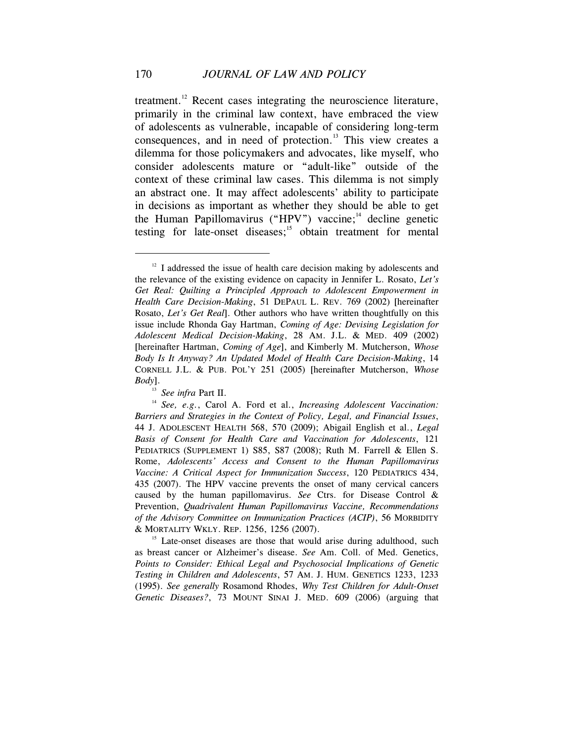treatment.<sup>12</sup> Recent cases integrating the neuroscience literature, primarily in the criminal law context, have embraced the view of adolescents as vulnerable, incapable of considering long-term consequences, and in need of protection.<sup>13</sup> This view creates a dilemma for those policymakers and advocates, like myself, who consider adolescents mature or "adult-like" outside of the context of these criminal law cases. This dilemma is not simply an abstract one. It may affect adolescents' ability to participate in decisions as important as whether they should be able to get the Human Papillomavirus ("HPV") vaccine;<sup>14</sup> decline genetic testing for late-onset diseases; $15$  obtain treatment for mental

as breast cancer or Alzheimer's disease. *See* Am. Coll. of Med. Genetics, *Points to Consider: Ethical Legal and Psychosocial Implications of Genetic Testing in Children and Adolescents*, 57 AM. J. HUM. GENETICS 1233, 1233 (1995). *See generally* Rosamond Rhodes, *Why Test Children for Adult-Onset Genetic Diseases?*, 73 MOUNT SINAI J. MED. 609 (2006) (arguing that

 $12$  I addressed the issue of health care decision making by adolescents and the relevance of the existing evidence on capacity in Jennifer L. Rosato, *Let's Get Real: Quilting a Principled Approach to Adolescent Empowerment in Health Care Decision-Making*, 51 DEPAUL L. REV. 769 (2002) [hereinafter Rosato, *Let's Get Real*]. Other authors who have written thoughtfully on this issue include Rhonda Gay Hartman, *Coming of Age: Devising Legislation for Adolescent Medical Decision-Making*, 28 AM. J.L. & MED. 409 (2002) [hereinafter Hartman, *Coming of Age*], and Kimberly M. Mutcherson, *Whose Body Is It Anyway? An Updated Model of Health Care Decision-Making*, 14 CORNELL J.L. & PUB. POL'Y 251 (2005) [hereinafter Mutcherson, *Whose Body*].

<sup>&</sup>lt;sup>13</sup> *See infra Part II.* 13 *See infra Part II.* 14 *See, e.g.*, Carol A. Ford et al., *Increasing Adolescent Vaccination: Barriers and Strategies in the Context of Policy, Legal, and Financial Issues*, 44 J. ADOLESCENT HEALTH 568, 570 (2009); Abigail English et al., *Legal Basis of Consent for Health Care and Vaccination for Adolescents*, 121 PEDIATRICS (SUPPLEMENT 1) S85, S87 (2008); Ruth M. Farrell & Ellen S. Rome, *Adolescents' Access and Consent to the Human Papillomavirus Vaccine: A Critical Aspect for Immunization Success*, 120 PEDIATRICS 434, 435 (2007). The HPV vaccine prevents the onset of many cervical cancers caused by the human papillomavirus. *See* Ctrs. for Disease Control & Prevention, *Quadrivalent Human Papillomavirus Vaccine, Recommendations of the Advisory Committee on Immunization Practices (ACIP)*, 56 MORBIDITY & MORTALITY WKLY. REP. 1256, 1256 (2007). 15 Late-onset diseases are those that would arise during adulthood, such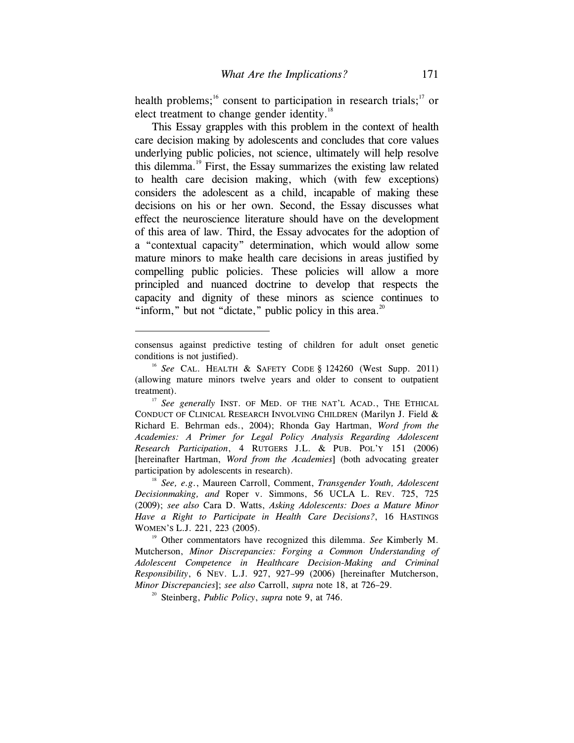health problems;<sup>16</sup> consent to participation in research trials;<sup>17</sup> or elect treatment to change gender identity.<sup>18</sup>

This Essay grapples with this problem in the context of health care decision making by adolescents and concludes that core values underlying public policies, not science, ultimately will help resolve this dilemma.<sup>19</sup> First, the Essay summarizes the existing law related to health care decision making, which (with few exceptions) considers the adolescent as a child, incapable of making these decisions on his or her own. Second, the Essay discusses what effect the neuroscience literature should have on the development of this area of law. Third, the Essay advocates for the adoption of a "contextual capacity" determination, which would allow some mature minors to make health care decisions in areas justified by compelling public policies. These policies will allow a more principled and nuanced doctrine to develop that respects the capacity and dignity of these minors as science continues to "inform," but not "dictate," public policy in this area. $2^{\circ}$ 

consensus against predictive testing of children for adult onset genetic conditions is not justified). 16 *See* CAL. HEALTH & SAFETY CODE § 124260 (West Supp. 2011)

<sup>(</sup>allowing mature minors twelve years and older to consent to outpatient treatment). 17 *See generally* INST. OF MED. OF THE NAT'L ACAD., THE ETHICAL

CONDUCT OF CLINICAL RESEARCH INVOLVING CHILDREN (Marilyn J. Field & Richard E. Behrman eds., 2004); Rhonda Gay Hartman, *Word from the Academies: A Primer for Legal Policy Analysis Regarding Adolescent Research Participation*, 4 RUTGERS J.L. & PUB. POL'Y 151 (2006) [hereinafter Hartman, *Word from the Academies*] (both advocating greater participation by adolescents in research).<br><sup>18</sup> *See, e.g.*, Maureen Carroll, Comment, *Transgender Youth, Adolescent* 

*Decisionmaking, and* Roper v. Simmons, 56 UCLA L. REV. 725, 725 (2009); *see also* Cara D. Watts, *Asking Adolescents: Does a Mature Minor Have a Right to Participate in Health Care Decisions?*, 16 HASTINGS WOMEN'S L.J. 221, 223 (2005).<br><sup>19</sup> Other commentators have recognized this dilemma. *See* Kimberly M.

Mutcherson, *Minor Discrepancies: Forging a Common Understanding of Adolescent Competence in Healthcare Decision-Making and Criminal Responsibility*, 6 NEV. L.J. 927, 927–99 (2006) [hereinafter Mutcherson, *Minor Discrepancies*]; *see also* Carroll, *supra* note 18, at 726–29.<br><sup>20</sup> Steinberg, *Public Policy*, *supra* note 9, at 746.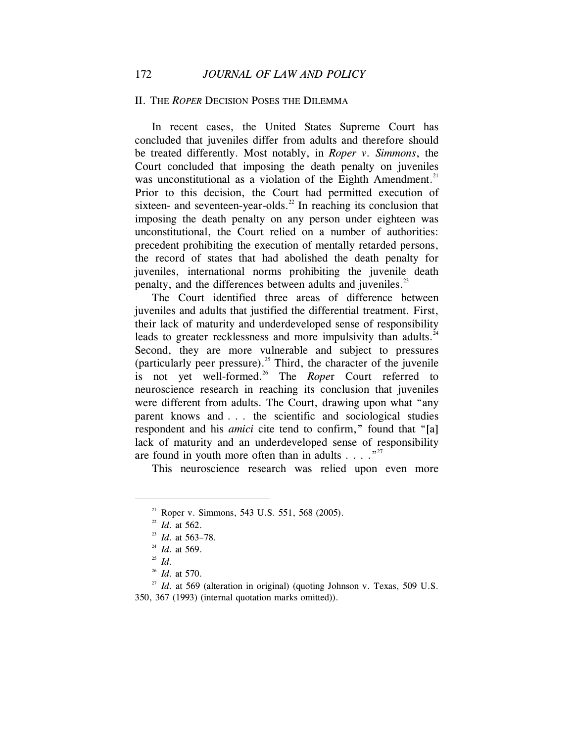# II. THE *ROPER* DECISION POSES THE DILEMMA

In recent cases, the United States Supreme Court has concluded that juveniles differ from adults and therefore should be treated differently. Most notably, in *Roper v. Simmons*, the Court concluded that imposing the death penalty on juveniles was unconstitutional as a violation of the Eighth Amendment.<sup>21</sup> Prior to this decision, the Court had permitted execution of sixteen- and seventeen-year-olds.<sup>22</sup> In reaching its conclusion that imposing the death penalty on any person under eighteen was unconstitutional, the Court relied on a number of authorities: precedent prohibiting the execution of mentally retarded persons, the record of states that had abolished the death penalty for juveniles, international norms prohibiting the juvenile death penalty, and the differences between adults and juveniles.<sup>23</sup>

The Court identified three areas of difference between juveniles and adults that justified the differential treatment. First, their lack of maturity and underdeveloped sense of responsibility leads to greater recklessness and more impulsivity than adults.<sup>24</sup> Second, they are more vulnerable and subject to pressures (particularly peer pressure).25 Third, the character of the juvenile is not yet well-formed.<sup>26</sup> The *Roper* Court referred to neuroscience research in reaching its conclusion that juveniles were different from adults. The Court, drawing upon what "any parent knows and . . . the scientific and sociological studies respondent and his *amici* cite tend to confirm," found that "[a] lack of maturity and an underdeveloped sense of responsibility are found in youth more often than in adults  $\dots$ ."<sup>27</sup>

This neuroscience research was relied upon even more

<sup>&</sup>lt;sup>21</sup> Roper v. Simmons, 543 U.S. 551, 568 (2005).<br>
<sup>22</sup> *Id.* at 562.<br>
<sup>23</sup> *Id.* at 563–78.<br>
<sup>24</sup> *Id.* at 569.<br>
<sup>25</sup> *Id.* at 570.<br>
<sup>26</sup> *Id.* at 559 (alteration in original) (quoting Johnson v. Texas, 509 U.S. 350, 367 (1993) (internal quotation marks omitted)).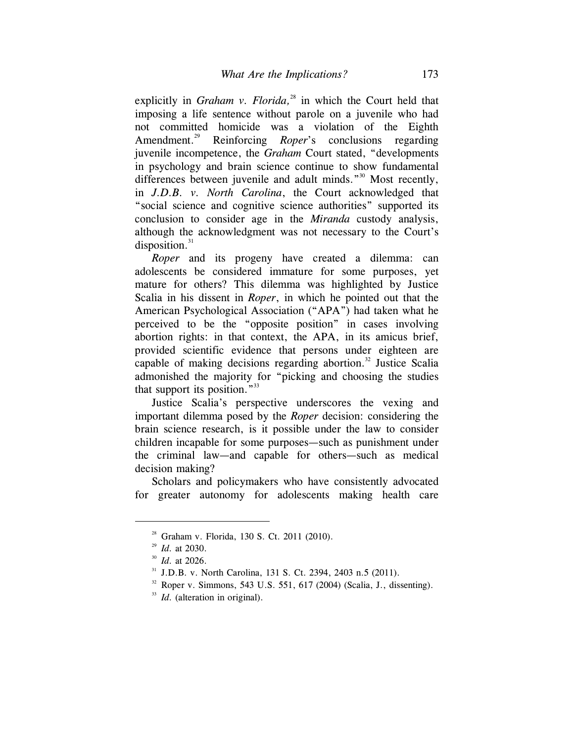explicitly in *Graham v. Florida*,<sup>28</sup> in which the Court held that imposing a life sentence without parole on a juvenile who had not committed homicide was a violation of the Eighth Amendment.<sup>29</sup> Reinforcing *Roper*'s conclusions regarding juvenile incompetence, the *Graham* Court stated, "developments in psychology and brain science continue to show fundamental differences between juvenile and adult minds."<sup>30</sup> Most recently, in *J.D.B. v. North Carolina*, the Court acknowledged that "social science and cognitive science authorities" supported its conclusion to consider age in the *Miranda* custody analysis, although the acknowledgment was not necessary to the Court's disposition. $31$ 

*Roper* and its progeny have created a dilemma: can adolescents be considered immature for some purposes, yet mature for others? This dilemma was highlighted by Justice Scalia in his dissent in *Roper*, in which he pointed out that the American Psychological Association ("APA") had taken what he perceived to be the "opposite position" in cases involving abortion rights: in that context, the APA, in its amicus brief, provided scientific evidence that persons under eighteen are capable of making decisions regarding abortion.<sup>32</sup> Justice Scalia admonished the majority for "picking and choosing the studies that support its position. $133$ 

Justice Scalia's perspective underscores the vexing and important dilemma posed by the *Roper* decision: considering the brain science research, is it possible under the law to consider children incapable for some purposes—such as punishment under the criminal law—and capable for others—such as medical decision making?

Scholars and policymakers who have consistently advocated for greater autonomy for adolescents making health care

<sup>&</sup>lt;sup>28</sup> Graham v. Florida, 130 S. Ct. 2011 (2010).<br><sup>29</sup> *Id.* at 2030.<br><sup>30</sup> *Id.* at 2026.<br><sup>31</sup> J.D.B. v. North Carolina, 131 S. Ct. 2394, 2403 n.5 (2011).<br><sup>32</sup> Roper v. Simmons, 543 U.S. 551, 617 (2004) (Scalia, J., dissent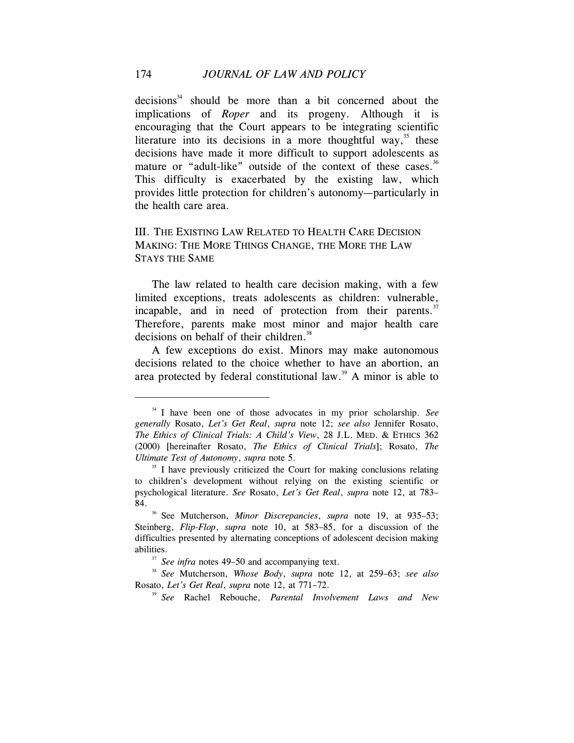$decisions<sup>34</sup>$  should be more than a bit concerned about the implications of *Roper* and its progeny. Although it is encouraging that the Court appears to be integrating scientific literature into its decisions in a more thoughtful way,  $35$  these decisions have made it more difficult to support adolescents as mature or "adult-like" outside of the context of these cases. $36$ This difficulty is exacerbated by the existing law, which provides little protection for children's autonomy—particularly in the health care area.

# III. THE EXISTING LAW RELATED TO HEALTH CARE DECISION MAKING: THE MORE THINGS CHANGE, THE MORE THE LAW STAYS THE SAME

The law related to health care decision making, with a few limited exceptions, treats adolescents as children: vulnerable, incapable, and in need of protection from their parents. $37$ Therefore, parents make most minor and major health care decisions on behalf of their children.<sup>38</sup>

A few exceptions do exist. Minors may make autonomous decisions related to the choice whether to have an abortion, an area protected by federal constitutional law.39 A minor is able to

<sup>34</sup> I have been one of those advocates in my prior scholarship. *See generally* Rosato, *Let's Get Real*, *supra* note 12; *see also* Jennifer Rosato, *The Ethics of Clinical Trials: A Child's View*, 28 J.L. MED. & ETHICS 362 (2000) [hereinafter Rosato, *The Ethics of Clinical Trials*]; Rosato, *The Ultimate Test of Autonomy, supra* note 5.<br><sup>35</sup> I have previously criticized the Court for making conclusions relating

to children's development without relying on the existing scientific or psychological literature. *See* Rosato, *Let's Get Real*, *supra* note 12, at 783– 84. 36 See Mutcherson, *Minor Discrepancies*, *supra* note 19, at 935–53;

Steinberg, *Flip-Flop*, *supra* note 10, at 583–85, for a discussion of the difficulties presented by alternating conceptions of adolescent decision making abilities. 37 *See infra* notes 49–50 and accompanying text. 38 *See* Mutcherson, *Whose Body*, *supra* note 12, at 259–63; *see also* 

Rosato, *Let's Get Real*, *supra* note 12, at 771–72. 39 *See* Rachel Rebouche, *Parental Involvement Laws and New*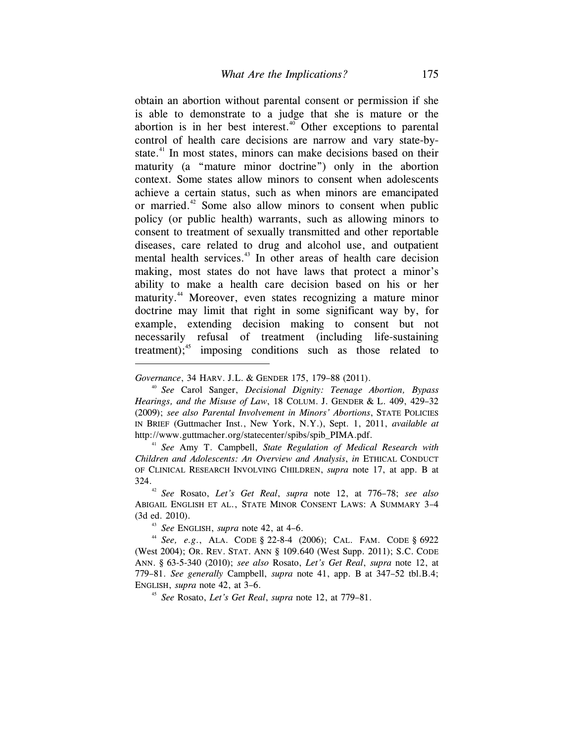obtain an abortion without parental consent or permission if she is able to demonstrate to a judge that she is mature or the abortion is in her best interest. $40^{\circ}$  Other exceptions to parental control of health care decisions are narrow and vary state-bystate.<sup>41</sup> In most states, minors can make decisions based on their maturity (a "mature minor doctrine") only in the abortion context. Some states allow minors to consent when adolescents achieve a certain status, such as when minors are emancipated or married.<sup>42</sup> Some also allow minors to consent when public policy (or public health) warrants, such as allowing minors to consent to treatment of sexually transmitted and other reportable diseases, care related to drug and alcohol use, and outpatient mental health services.<sup>43</sup> In other areas of health care decision making, most states do not have laws that protect a minor's ability to make a health care decision based on his or her maturity.<sup>44</sup> Moreover, even states recognizing a mature minor doctrine may limit that right in some significant way by, for example, extending decision making to consent but not necessarily refusal of treatment (including life-sustaining treatment); $45$  imposing conditions such as those related to

*Governance*, 34 HARV. J.L. & GENDER 175, 179–88 (2011). 40 *See* Carol Sanger, *Decisional Dignity: Teenage Abortion, Bypass Hearings, and the Misuse of Law*, 18 COLUM. J. GENDER & L. 409, 429–32 (2009); *see also Parental Involvement in Minors' Abortions*, STATE POLICIES IN BRIEF (Guttmacher Inst., New York, N.Y.), Sept. 1, 2011, *available at*  http://www.guttmacher.org/statecenter/spibs/spib\_PIMA.pdf. 41 *See* Amy T. Campbell, *State Regulation of Medical Research with* 

*Children and Adolescents: An Overview and Analysis*, *in* ETHICAL CONDUCT OF CLINICAL RESEARCH INVOLVING CHILDREN, *supra* note 17, at app. B at 324. 42 *See* Rosato, *Let's Get Real*, *supra* note 12, at 776–78; *see also* 

ABIGAIL ENGLISH ET AL., STATE MINOR CONSENT LAWS: A SUMMARY 3–4 (3d ed. 2010). 43 *See* ENGLISH, *supra* note 42, at 4–6. 44 *See, e.g*., ALA. CODE § 22-8-4 (2006); CAL. FAM. CODE § 6922

<sup>(</sup>West 2004); OR. REV. STAT. ANN § 109.640 (West Supp. 2011); S.C. CODE ANN. § 63-5-340 (2010); *see also* Rosato, *Let's Get Real*, *supra* note 12, at 779–81. *See generally* Campbell, *supra* note 41, app. B at 347–52 tbl.B.4; ENGLISH, *supra* note 42, at 3–6. 45 *See* Rosato, *Let's Get Real*, *supra* note 12, at 779–81.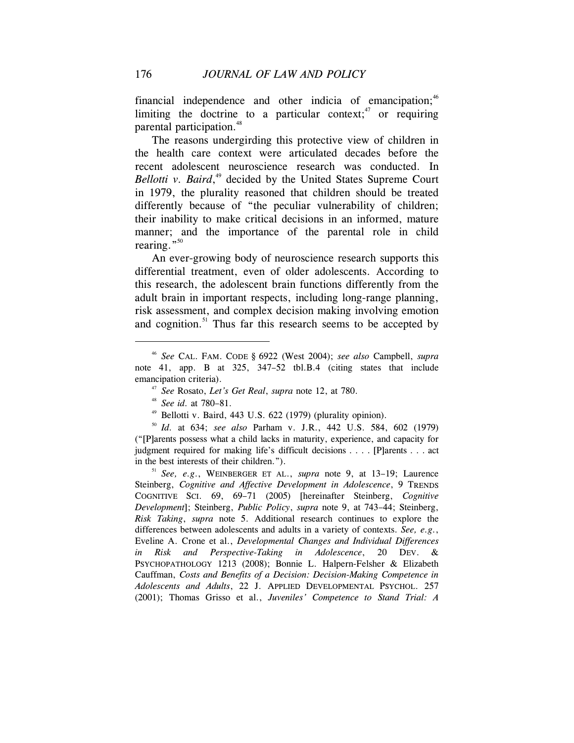financial independence and other indicia of emancipation;  $46$ limiting the doctrine to a particular context;  $\alpha$  or requiring parental participation.<sup>48</sup>

The reasons undergirding this protective view of children in the health care context were articulated decades before the recent adolescent neuroscience research was conducted. In Bellotti v. Baird,<sup>49</sup> decided by the United States Supreme Court in 1979, the plurality reasoned that children should be treated differently because of "the peculiar vulnerability of children; their inability to make critical decisions in an informed, mature manner; and the importance of the parental role in child rearing." $50$ 

An ever-growing body of neuroscience research supports this differential treatment, even of older adolescents. According to this research, the adolescent brain functions differently from the adult brain in important respects, including long-range planning, risk assessment, and complex decision making involving emotion and cognition. $51$  Thus far this research seems to be accepted by

<sup>46</sup> *See* CAL. FAM. CODE § 6922 (West 2004); *see also* Campbell, *supra* note 41, app. B at 325, 347–52 tbl.B.4 (citing states that include emancipation criteria).<br>
<sup>47</sup> See Rosato, *Let's Get Real*, *supra* note 12, at 780.<br>
<sup>48</sup> See id. at 780–81.<br>
<sup>49</sup> Bellotti v. Baird, 443 U.S. 622 (1979) (plurality opinion).<br>
<sup>50</sup> Id. at 634; *see also* Parham v. J.R.,

<sup>(&</sup>quot;[P]arents possess what a child lacks in maturity, experience, and capacity for judgment required for making life's difficult decisions . . . . [P]arents . . . act in the best interests of their children."). 51 *See, e.g*., WEINBERGER ET AL., *supra* note 9, at 13–19; Laurence

Steinberg, *Cognitive and Affective Development in Adolescence*, 9 TRENDS COGNITIVE SCI. 69, 69–71 (2005) [hereinafter Steinberg, *Cognitive Development*]; Steinberg, *Public Policy*, *supra* note 9, at 743–44; Steinberg, *Risk Taking*, *supra* note 5. Additional research continues to explore the differences between adolescents and adults in a variety of contexts. *See, e.g.*, Eveline A. Crone et al., *Developmental Changes and Individual Differences in Risk and Perspective-Taking in Adolescence*, 20 DEV. & PSYCHOPATHOLOGY 1213 (2008); Bonnie L. Halpern-Felsher & Elizabeth Cauffman, *Costs and Benefits of a Decision: Decision-Making Competence in Adolescents and Adults*, 22 J. APPLIED DEVELOPMENTAL PSYCHOL. 257 (2001); Thomas Grisso et al., *Juveniles' Competence to Stand Trial: A*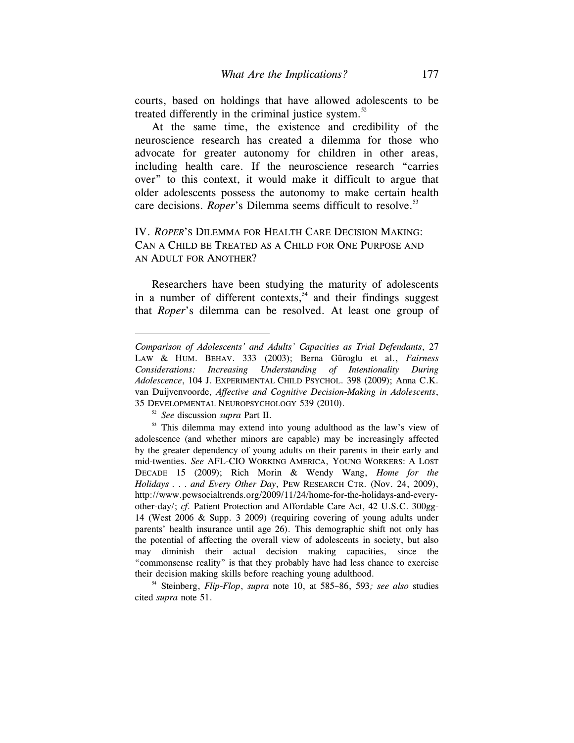courts, based on holdings that have allowed adolescents to be treated differently in the criminal justice system. $52$ 

At the same time, the existence and credibility of the neuroscience research has created a dilemma for those who advocate for greater autonomy for children in other areas, including health care. If the neuroscience research "carries over" to this context, it would make it difficult to argue that older adolescents possess the autonomy to make certain health care decisions. *Roper*'s Dilemma seems difficult to resolve.<sup>53</sup>

# IV. *ROPER*'S DILEMMA FOR HEALTH CARE DECISION MAKING: CAN A CHILD BE TREATED AS A CHILD FOR ONE PURPOSE AND AN ADULT FOR ANOTHER?

Researchers have been studying the maturity of adolescents in a number of different contexts,<sup>54</sup> and their findings suggest that *Roper*'s dilemma can be resolved. At least one group of

 $\overline{a}$ 

cited *supra* note 51.

*Comparison of Adolescents' and Adults' Capacities as Trial Defendants*, 27 LAW & HUM. BEHAV. 333 (2003); Berna Güroglu et al., *Fairness Considerations: Increasing Understanding of Intentionality During Adolescence*, 104 J. EXPERIMENTAL CHILD PSYCHOL. 398 (2009); Anna C.K. van Duijvenvoorde, *Affective and Cognitive Decision-Making in Adolescents*, 35 DEVELOPMENTAL NEUROPSYCHOLOGY 539 (2010). 52 *See* discussion *supra* Part II. 53 This dilemma may extend into young adulthood as the law's view of

adolescence (and whether minors are capable) may be increasingly affected by the greater dependency of young adults on their parents in their early and mid-twenties. *See* AFL-CIO WORKING AMERICA, YOUNG WORKERS: A LOST DECADE 15 (2009); Rich Morin & Wendy Wang, *Home for the Holidays . . . and Every Other Day*, PEW RESEARCH CTR. (Nov. 24, 2009), http://www.pewsocialtrends.org/2009/11/24/home-for-the-holidays-and-everyother-day/; *cf.* Patient Protection and Affordable Care Act, 42 U.S.C. 300gg-14 (West 2006 & Supp. 3 2009) (requiring covering of young adults under parents' health insurance until age 26). This demographic shift not only has the potential of affecting the overall view of adolescents in society, but also may diminish their actual decision making capacities, since the "commonsense reality" is that they probably have had less chance to exercise their decision making skills before reaching young adulthood. 54 Steinberg, *Flip-Flop*, *supra* note 10, at 585–86, 593*; see also* studies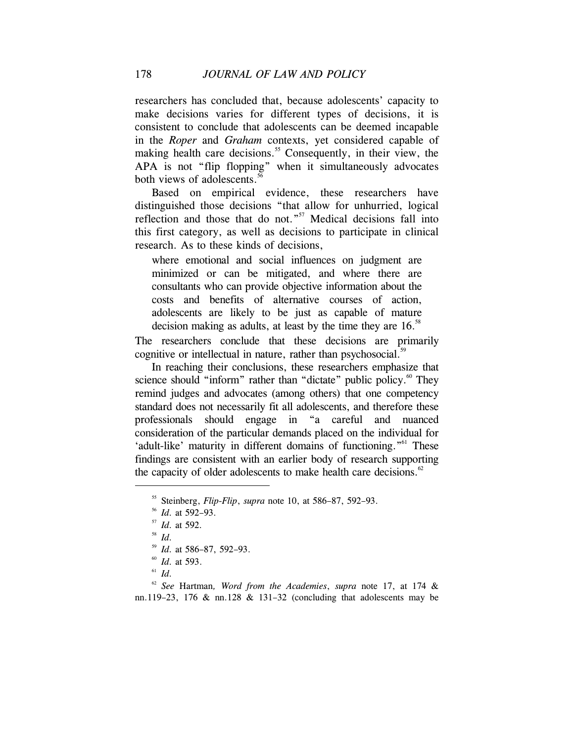researchers has concluded that, because adolescents' capacity to make decisions varies for different types of decisions, it is consistent to conclude that adolescents can be deemed incapable in the *Roper* and *Graham* contexts, yet considered capable of making health care decisions.<sup>55</sup> Consequently, in their view, the APA is not "flip flopping" when it simultaneously advocates both views of adolescents.<sup>5</sup>

Based on empirical evidence, these researchers have distinguished those decisions "that allow for unhurried, logical reflection and those that do not."<sup>57</sup> Medical decisions fall into this first category, as well as decisions to participate in clinical research. As to these kinds of decisions,

where emotional and social influences on judgment are minimized or can be mitigated, and where there are consultants who can provide objective information about the costs and benefits of alternative courses of action, adolescents are likely to be just as capable of mature decision making as adults, at least by the time they are  $16<sup>58</sup>$ 

The researchers conclude that these decisions are primarily cognitive or intellectual in nature, rather than psychosocial.<sup>59</sup>

In reaching their conclusions, these researchers emphasize that science should "inform" rather than "dictate" public policy. $60$  They remind judges and advocates (among others) that one competency standard does not necessarily fit all adolescents, and therefore these professionals should engage in "a careful and nuanced consideration of the particular demands placed on the individual for 'adult-like' maturity in different domains of functioning."<sup>61</sup> These findings are consistent with an earlier body of research supporting the capacity of older adolescents to make health care decisions.<sup>62</sup>

 $\overline{a}$ 

<sup>62</sup> *See* Hartman*, Word from the Academies*, *supra* note 17, at 174 & nn.119–23, 176 & nn.128 & 131–32 (concluding that adolescents may be

<sup>55</sup> Steinberg, *Flip-Flip*, *supra* note 10, at 586–87, 592–93. 56 *Id.* at 592–93. 57 *Id.* at 592*.*

<sup>&</sup>lt;sup>58</sup> *Id.* at 586–87, 592–93.<br><sup>60</sup> *Id.* at 593. <sup>61</sup> *Id.*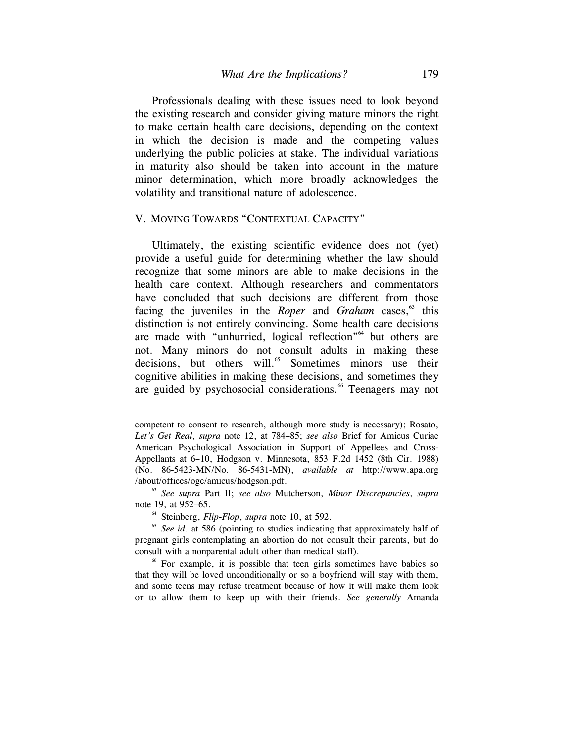Professionals dealing with these issues need to look beyond the existing research and consider giving mature minors the right to make certain health care decisions, depending on the context in which the decision is made and the competing values underlying the public policies at stake. The individual variations in maturity also should be taken into account in the mature minor determination, which more broadly acknowledges the volatility and transitional nature of adolescence.

## V. MOVING TOWARDS "CONTEXTUAL CAPACITY"

Ultimately, the existing scientific evidence does not (yet) provide a useful guide for determining whether the law should recognize that some minors are able to make decisions in the health care context. Although researchers and commentators have concluded that such decisions are different from those facing the juveniles in the *Roper* and *Graham* cases,<sup>63</sup> this distinction is not entirely convincing. Some health care decisions are made with "unhurried, logical reflection"<sup>64</sup> but others are not. Many minors do not consult adults in making these decisions, but others will.<sup>65</sup> Sometimes minors use their cognitive abilities in making these decisions, and sometimes they are guided by psychosocial considerations.<sup>66</sup> Teenagers may not

competent to consent to research, although more study is necessary); Rosato, *Let's Get Real*, *supra* note 12, at 784–85; *see also* Brief for Amicus Curiae American Psychological Association in Support of Appellees and Cross-Appellants at 6–10, Hodgson v. Minnesota, 853 F.2d 1452 (8th Cir. 1988) (No. 86-5423-MN/No. 86-5431-MN), *available at* http://www.apa.org

<sup>/</sup>about/offices/ogc/amicus/hodgson.pdf. 63 *See supra* Part II; *see also* Mutcherson, *Minor Discrepancies*, *supra*

<sup>&</sup>lt;sup>64</sup> Steinberg, *Flip-Flop*, *supra* note 10, at 592.<br><sup>65</sup> *See id.* at 586 (pointing to studies indicating that approximately half of pregnant girls contemplating an abortion do not consult their parents, but do consult with a nonparental adult other than medical staff).<br><sup>66</sup> For example, it is possible that teen girls sometimes have babies sometimes

that they will be loved unconditionally or so a boyfriend will stay with them, and some teens may refuse treatment because of how it will make them look or to allow them to keep up with their friends. *See generally* Amanda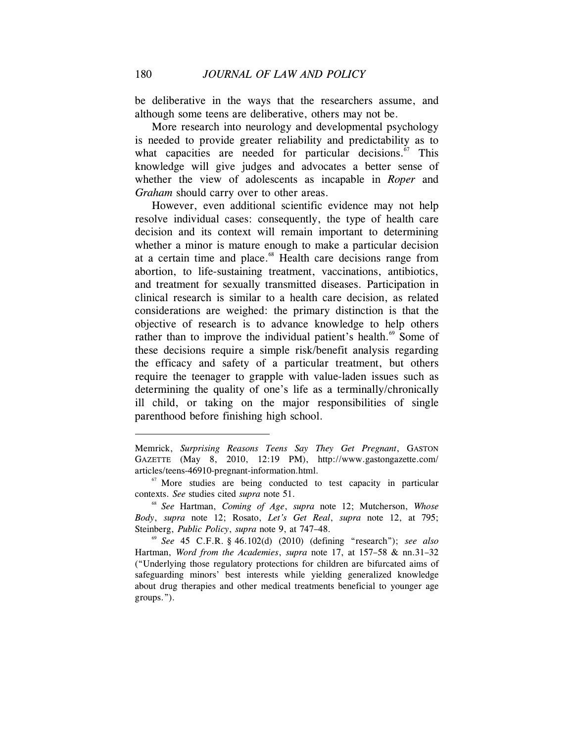be deliberative in the ways that the researchers assume, and although some teens are deliberative, others may not be.

More research into neurology and developmental psychology is needed to provide greater reliability and predictability as to what capacities are needed for particular decisions. $67$  This knowledge will give judges and advocates a better sense of whether the view of adolescents as incapable in *Roper* and *Graham* should carry over to other areas.

However, even additional scientific evidence may not help resolve individual cases: consequently, the type of health care decision and its context will remain important to determining whether a minor is mature enough to make a particular decision at a certain time and place.<sup>68</sup> Health care decisions range from abortion, to life-sustaining treatment, vaccinations, antibiotics, and treatment for sexually transmitted diseases. Participation in clinical research is similar to a health care decision, as related considerations are weighed: the primary distinction is that the objective of research is to advance knowledge to help others rather than to improve the individual patient's health. $69$  Some of these decisions require a simple risk/benefit analysis regarding the efficacy and safety of a particular treatment, but others require the teenager to grapple with value-laden issues such as determining the quality of one's life as a terminally/chronically ill child, or taking on the major responsibilities of single parenthood before finishing high school.

Memrick, *Surprising Reasons Teens Say They Get Pregnant*, GASTON GAZETTE (May 8, 2010, 12:19 PM), http://www.gastongazette.com/ articles/teens-46910-pregnant-information.html.<br><sup>67</sup> More studies are being conducted to test capacity in particular

contexts. *See* studies cited *supra* note 51. 68 *See* Hartman, *Coming of Age*, *supra* note 12; Mutcherson, *Whose* 

*Body*, *supra* note 12; Rosato, *Let's Get Real*, *supra* note 12, at 795;

<sup>&</sup>lt;sup>69</sup> *See* 45 C.F.R. § 46.102(d) (2010) (defining "research"); *see also* Hartman, *Word from the Academies*, *supra* note 17, at 157–58 & nn.31–32 ("Underlying those regulatory protections for children are bifurcated aims of safeguarding minors' best interests while yielding generalized knowledge about drug therapies and other medical treatments beneficial to younger age groups.").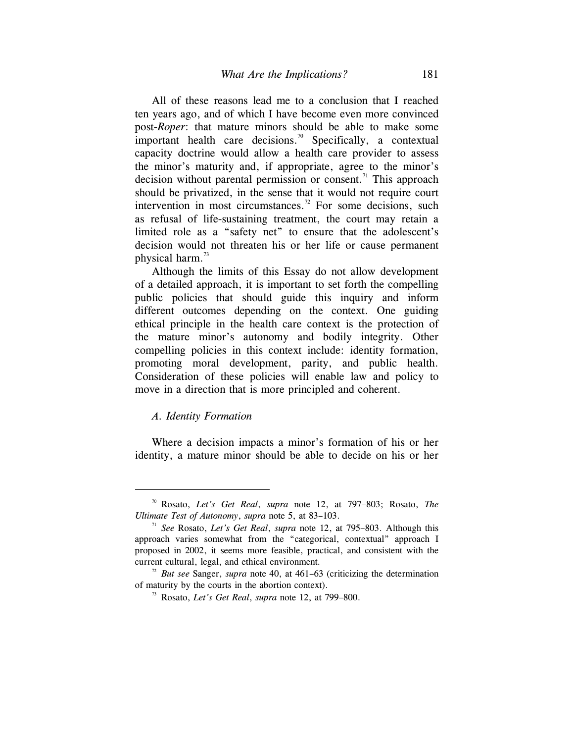All of these reasons lead me to a conclusion that I reached ten years ago, and of which I have become even more convinced post-*Roper*: that mature minors should be able to make some important health care decisions.<sup>70</sup> Specifically, a contextual capacity doctrine would allow a health care provider to assess the minor's maturity and, if appropriate, agree to the minor's decision without parental permission or consent.<sup>71</sup> This approach should be privatized, in the sense that it would not require court intervention in most circumstances.<sup>72</sup> For some decisions, such as refusal of life-sustaining treatment, the court may retain a limited role as a "safety net" to ensure that the adolescent's decision would not threaten his or her life or cause permanent physical harm.<sup>73</sup>

Although the limits of this Essay do not allow development of a detailed approach, it is important to set forth the compelling public policies that should guide this inquiry and inform different outcomes depending on the context. One guiding ethical principle in the health care context is the protection of the mature minor's autonomy and bodily integrity. Other compelling policies in this context include: identity formation, promoting moral development, parity, and public health. Consideration of these policies will enable law and policy to move in a direction that is more principled and coherent.

## *A. Identity Formation*

l

Where a decision impacts a minor's formation of his or her identity, a mature minor should be able to decide on his or her

<sup>70</sup> Rosato, *Let's Get Real*, *supra* note 12, at 797–803; Rosato, *The Ultimate Test of Autonomy, supra* note 5, at 83–103.<br><sup>71</sup> *See* Rosato, *Let's Get Real, supra* note 12, at 795–803. Although this

approach varies somewhat from the "categorical, contextual" approach I proposed in 2002, it seems more feasible, practical, and consistent with the current cultural, legal, and ethical environment*.*

 $72$  *But see* Sanger, *supra* note 40, at 461–63 (criticizing the determination of maturity by the courts in the abortion context). 73 Rosato, *Let's Get Real*, *supra* note 12, at 799–800.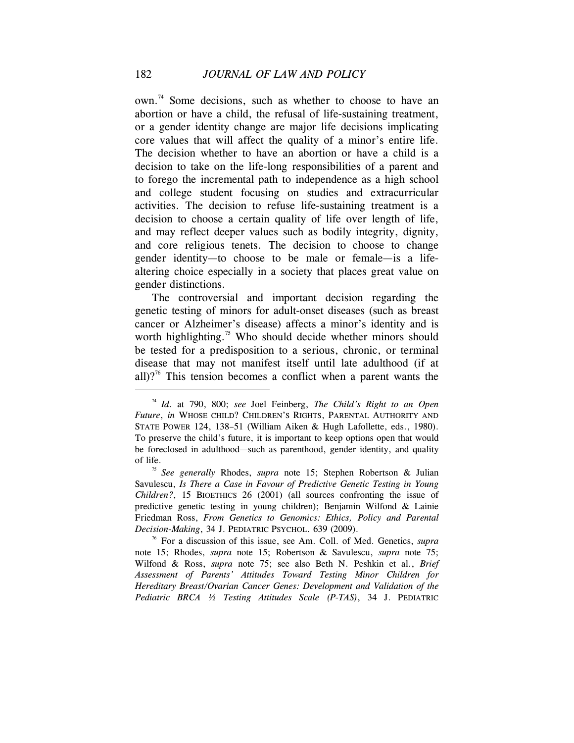own.74 Some decisions, such as whether to choose to have an abortion or have a child, the refusal of life-sustaining treatment, or a gender identity change are major life decisions implicating core values that will affect the quality of a minor's entire life. The decision whether to have an abortion or have a child is a decision to take on the life-long responsibilities of a parent and to forego the incremental path to independence as a high school and college student focusing on studies and extracurricular activities. The decision to refuse life-sustaining treatment is a decision to choose a certain quality of life over length of life, and may reflect deeper values such as bodily integrity, dignity, and core religious tenets. The decision to choose to change gender identity—to choose to be male or female—is a lifealtering choice especially in a society that places great value on gender distinctions.

The controversial and important decision regarding the genetic testing of minors for adult-onset diseases (such as breast cancer or Alzheimer's disease) affects a minor's identity and is worth highlighting.<sup>75</sup> Who should decide whether minors should be tested for a predisposition to a serious, chronic, or terminal disease that may not manifest itself until late adulthood (if at all)?<sup>76</sup> This tension becomes a conflict when a parent wants the

<sup>74</sup> *Id.* at 790, 800; *see* Joel Feinberg, *The Child's Right to an Open Future*, *in* WHOSE CHILD? CHILDREN'S RIGHTS, PARENTAL AUTHORITY AND STATE POWER 124, 138–51 (William Aiken & Hugh Lafollette, eds., 1980). To preserve the child's future, it is important to keep options open that would be foreclosed in adulthood—such as parenthood, gender identity, and quality of life. 75 *See generally* Rhodes, *supra* note 15; Stephen Robertson & Julian

Savulescu, *Is There a Case in Favour of Predictive Genetic Testing in Young Children?*, 15 BIOETHICS 26 (2001) (all sources confronting the issue of predictive genetic testing in young children); Benjamin Wilfond & Lainie Friedman Ross, *From Genetics to Genomics: Ethics, Policy and Parental Decision-Making*, 34 J. PEDIATRIC PSYCHOL. 639 (2009).<br><sup>76</sup> For a discussion of this issue, see Am. Coll. of Med. Genetics, *supra* 

note 15; Rhodes, *supra* note 15; Robertson & Savulescu, *supra* note 75; Wilfond & Ross, *supra* note 75; see also Beth N. Peshkin et al., *Brief Assessment of Parents' Attitudes Toward Testing Minor Children for Hereditary Breast/Ovarian Cancer Genes: Development and Validation of the Pediatric BRCA ½ Testing Attitudes Scale (P-TAS)*, 34 J. PEDIATRIC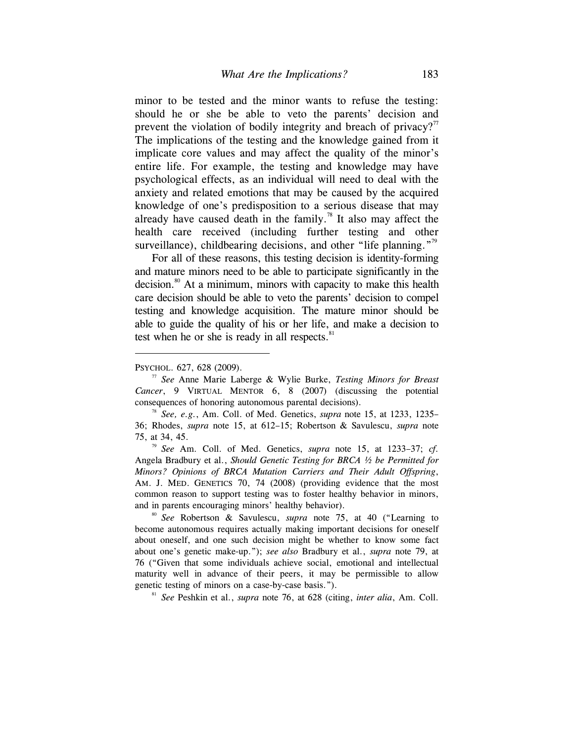minor to be tested and the minor wants to refuse the testing: should he or she be able to veto the parents' decision and prevent the violation of bodily integrity and breach of privacy?<sup>77</sup> The implications of the testing and the knowledge gained from it implicate core values and may affect the quality of the minor's entire life. For example, the testing and knowledge may have psychological effects, as an individual will need to deal with the anxiety and related emotions that may be caused by the acquired knowledge of one's predisposition to a serious disease that may already have caused death in the family.<sup>78</sup> It also may affect the health care received (including further testing and other surveillance), childbearing decisions, and other "life planning."<sup>79</sup>

For all of these reasons, this testing decision is identity-forming and mature minors need to be able to participate significantly in the decision.<sup>80</sup> At a minimum, minors with capacity to make this health care decision should be able to veto the parents' decision to compel testing and knowledge acquisition. The mature minor should be able to guide the quality of his or her life, and make a decision to test when he or she is ready in all respects.<sup>81</sup>

 $\overline{a}$ 

75, at 34, 45. 79 *See* Am. Coll. of Med. Genetics, *supra* note 15, at 1233–37; *cf.* Angela Bradbury et al., *Should Genetic Testing for BRCA ½ be Permitted for Minors? Opinions of BRCA Mutation Carriers and Their Adult Offspring*, AM. J. MED. GENETICS 70, 74 (2008) (providing evidence that the most common reason to support testing was to foster healthy behavior in minors, and in parents encouraging minors' healthy behavior). 80 *See* Robertson & Savulescu, *supra* note 75, at 40 ("Learning to

become autonomous requires actually making important decisions for oneself about oneself, and one such decision might be whether to know some fact about one's genetic make-up."); *see also* Bradbury et al., *supra* note 79, at 76 ("Given that some individuals achieve social, emotional and intellectual maturity well in advance of their peers, it may be permissible to allow genetic testing of minors on a case-by-case basis.").<br><sup>81</sup> *See* Peshkin et al., *supra* note 76, at 628 (citing, *inter alia*, Am. Coll.

PSYCHOL. 627, 628 (2009).<br><sup>77</sup> *See* Anne Marie Laberge & Wylie Burke, *Testing Minors for Breast Cancer*, 9 VIRTUAL MENTOR 6, 8 (2007) (discussing the potential consequences of honoring autonomous parental decisions). 78 *See, e.g.*, Am. Coll. of Med. Genetics, *supra* note 15, at 1233, 1235–

<sup>36;</sup> Rhodes, *supra* note 15, at 612–15; Robertson & Savulescu, *supra* note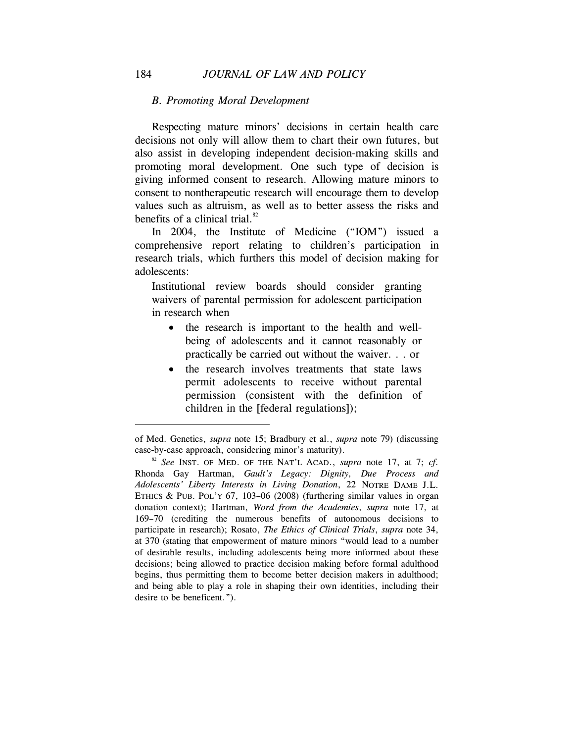#### *B. Promoting Moral Development*

Respecting mature minors' decisions in certain health care decisions not only will allow them to chart their own futures, but also assist in developing independent decision-making skills and promoting moral development. One such type of decision is giving informed consent to research. Allowing mature minors to consent to nontherapeutic research will encourage them to develop values such as altruism, as well as to better assess the risks and benefits of a clinical trial.<sup>82</sup>

In 2004, the Institute of Medicine ("IOM") issued a comprehensive report relating to children's participation in research trials, which furthers this model of decision making for adolescents:

Institutional review boards should consider granting waivers of parental permission for adolescent participation in research when

- the research is important to the health and wellbeing of adolescents and it cannot reasonably or practically be carried out without the waiver. . . or
- the research involves treatments that state laws permit adolescents to receive without parental permission (consistent with the definition of children in the [federal regulations]);

of Med. Genetics, *supra* note 15; Bradbury et al., *supra* note 79) (discussing case-by-case approach, considering minor's maturity).<br><sup>82</sup> *See* INST. OF MED. OF THE NAT'L ACAD., *supra* note 17, at 7; *cf.* 

Rhonda Gay Hartman, *Gault's Legacy: Dignity, Due Process and Adolescents' Liberty Interests in Living Donation*, 22 NOTRE DAME J.L. ETHICS & PUB. POL'Y 67, 103–06 (2008) (furthering similar values in organ donation context); Hartman, *Word from the Academies*, *supra* note 17, at 169–70 (crediting the numerous benefits of autonomous decisions to participate in research); Rosato, *The Ethics of Clinical Trials*, *supra* note 34, at 370 (stating that empowerment of mature minors "would lead to a number of desirable results, including adolescents being more informed about these decisions; being allowed to practice decision making before formal adulthood begins, thus permitting them to become better decision makers in adulthood; and being able to play a role in shaping their own identities, including their desire to be beneficent.").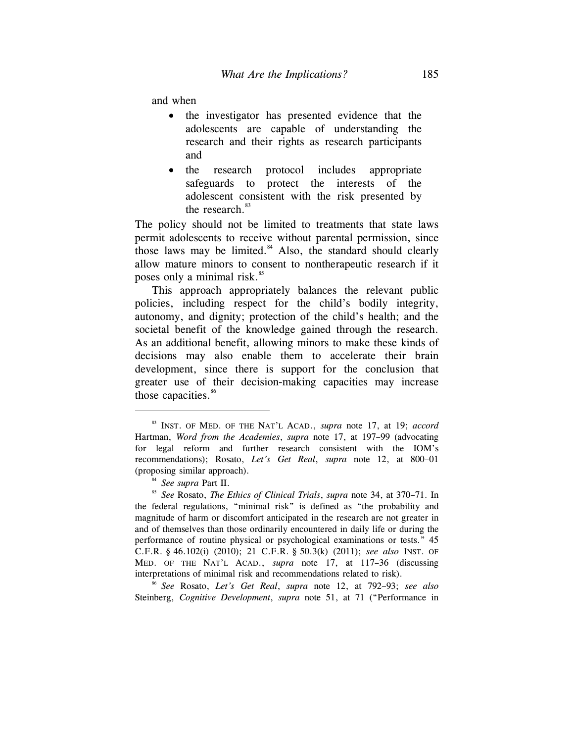and when

- the investigator has presented evidence that the adolescents are capable of understanding the research and their rights as research participants and
- the research protocol includes appropriate safeguards to protect the interests of the adolescent consistent with the risk presented by the research.<sup>83</sup>

The policy should not be limited to treatments that state laws permit adolescents to receive without parental permission, since those laws may be limited. $84$  Also, the standard should clearly allow mature minors to consent to nontherapeutic research if it poses only a minimal risk.<sup>85</sup>

This approach appropriately balances the relevant public policies, including respect for the child's bodily integrity, autonomy, and dignity; protection of the child's health; and the societal benefit of the knowledge gained through the research. As an additional benefit, allowing minors to make these kinds of decisions may also enable them to accelerate their brain development, since there is support for the conclusion that greater use of their decision-making capacities may increase those capacities.<sup>86</sup>

l

Steinberg, *Cognitive Development*, *supra* note 51, at 71 ("Performance in

<sup>83</sup> INST. OF MED. OF THE NAT'L ACAD., *supra* note 17, at 19; *accord*  Hartman, *Word from the Academies*, *supra* note 17, at 197–99 (advocating for legal reform and further research consistent with the IOM's recommendations); Rosato, *Let's Get Real*, *supra* note 12, at 800–01

<sup>(</sup>proposing similar approach). 84 *See supra* Part II. 85 *See* Rosato, *The Ethics of Clinical Trials*, *supra* note 34, at 370–71. In the federal regulations, "minimal risk" is defined as "the probability and magnitude of harm or discomfort anticipated in the research are not greater in and of themselves than those ordinarily encountered in daily life or during the performance of routine physical or psychological examinations or tests." 45 C.F.R. § 46.102(i) (2010); 21 C.F.R. § 50.3(k) (2011); *see also* INST. OF MED. OF THE NAT'L ACAD., *supra* note 17, at 117–36 (discussing interpretations of minimal risk and recommendations related to risk). 86 *See* Rosato, *Let's Get Real*, *supra* note 12, at 792–93; *see also*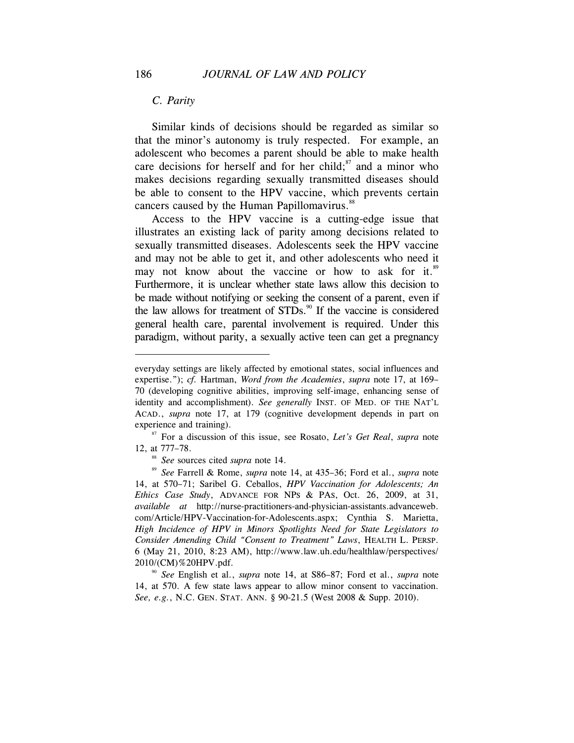# *C. Parity*

Similar kinds of decisions should be regarded as similar so that the minor's autonomy is truly respected. For example, an adolescent who becomes a parent should be able to make health care decisions for herself and for her child; $\frac{87}{1}$  and a minor who makes decisions regarding sexually transmitted diseases should be able to consent to the HPV vaccine, which prevents certain cancers caused by the Human Papillomavirus.<sup>88</sup>

Access to the HPV vaccine is a cutting-edge issue that illustrates an existing lack of parity among decisions related to sexually transmitted diseases. Adolescents seek the HPV vaccine and may not be able to get it, and other adolescents who need it may not know about the vaccine or how to ask for it.<sup>89</sup> Furthermore, it is unclear whether state laws allow this decision to be made without notifying or seeking the consent of a parent, even if the law allows for treatment of  $STDs$ .<sup>90</sup> If the vaccine is considered general health care, parental involvement is required. Under this paradigm, without parity, a sexually active teen can get a pregnancy

everyday settings are likely affected by emotional states, social influences and expertise."); *cf.* Hartman, *Word from the Academies*, *supra* note 17, at 169– 70 (developing cognitive abilities, improving self-image, enhancing sense of identity and accomplishment). *See generally* INST. OF MED. OF THE NAT'L ACAD., *supra* note 17, at 179 (cognitive development depends in part on experience and training). 87 For a discussion of this issue, see Rosato, *Let's Get Real*, *supra* note

<sup>12,</sup> at 777–78.<br><sup>88</sup> *See* sources cited *supra* note 14.<br><sup>89</sup> *See* Farrell & Rome, *supra* note 14, at 435–36; Ford et al., *supra* note 14, at 570–71; Saribel G. Ceballos, *HPV Vaccination for Adolescents; An Ethics Case Study*, ADVANCE FOR NPS & PAS, Oct. 26, 2009, at 31, *available at* http://nurse-practitioners-and-physician-assistants.advanceweb. com/Article/HPV-Vaccination-for-Adolescents.aspx; Cynthia S. Marietta, *High Incidence of HPV in Minors Spotlights Need for State Legislators to Consider Amending Child "Consent to Treatment" Laws*, HEALTH L. PERSP. 6 (May 21, 2010, 8:23 AM), http://www.law.uh.edu/healthlaw/perspectives/ 2010/(CM)%20HPV.pdf. 90 *See* English et al., *supra* note 14, at S86–87; Ford et al., *supra* note

<sup>14,</sup> at 570. A few state laws appear to allow minor consent to vaccination. *See, e.g.*, N.C. GEN. STAT. ANN. § 90-21.5 (West 2008 & Supp. 2010).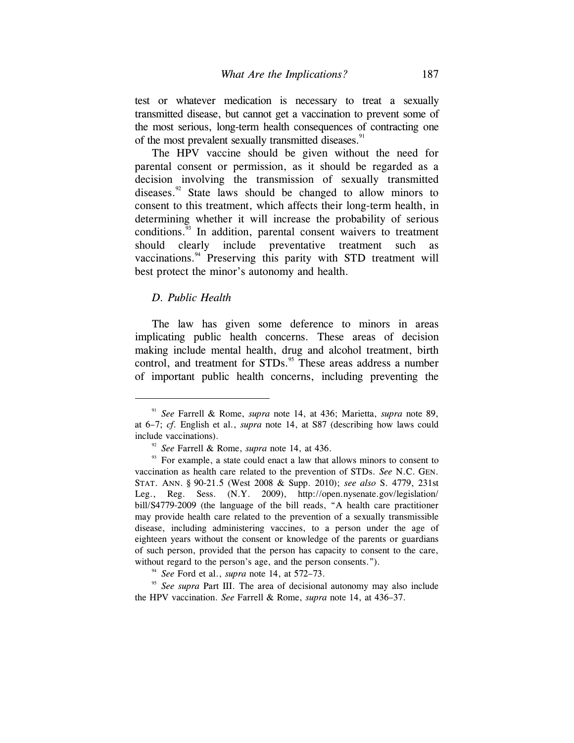test or whatever medication is necessary to treat a sexually transmitted disease, but cannot get a vaccination to prevent some of the most serious, long-term health consequences of contracting one of the most prevalent sexually transmitted diseases.<sup>91</sup>

The HPV vaccine should be given without the need for parental consent or permission, as it should be regarded as a decision involving the transmission of sexually transmitted diseases. $92$  State laws should be changed to allow minors to consent to this treatment, which affects their long-term health, in determining whether it will increase the probability of serious conditions.<sup>93</sup> In addition, parental consent waivers to treatment should clearly include preventative treatment such as vaccinations.<sup>94</sup> Preserving this parity with STD treatment will best protect the minor's autonomy and health.

## *D. Public Health*

 $\overline{\phantom{a}}$ 

The law has given some deference to minors in areas implicating public health concerns. These areas of decision making include mental health, drug and alcohol treatment, birth control, and treatment for STDs.<sup>95</sup> These areas address a number of important public health concerns, including preventing the

<sup>91</sup> *See* Farrell & Rome, *supra* note 14, at 436; Marietta, *supra* note 89, at 6–7; *cf*. English et al., *supra* note 14, at S87 (describing how laws could include vaccinations).<br><sup>92</sup> *See* Farrell & Rome, *supra* note 14, at 436.<br><sup>93</sup> For example, a state could enact a law that allows minors to consent to

vaccination as health care related to the prevention of STDs. *See* N.C. GEN. STAT. ANN. § 90-21.5 (West 2008 & Supp. 2010); *see also* S. 4779, 231st Leg., Reg. Sess. (N.Y. 2009), http://open.nysenate.gov/legislation/ bill/S4779-2009 (the language of the bill reads, "A health care practitioner may provide health care related to the prevention of a sexually transmissible disease, including administering vaccines, to a person under the age of eighteen years without the consent or knowledge of the parents or guardians of such person, provided that the person has capacity to consent to the care, without regard to the person's age, and the person consents.").<br><sup>94</sup> *See* Ford et al., *supra* note 14, at 572–73.<br><sup>95</sup> *See supra* Part III. The area of decisional autonomy may also include

the HPV vaccination. *See* Farrell & Rome, *supra* note 14, at 436–37.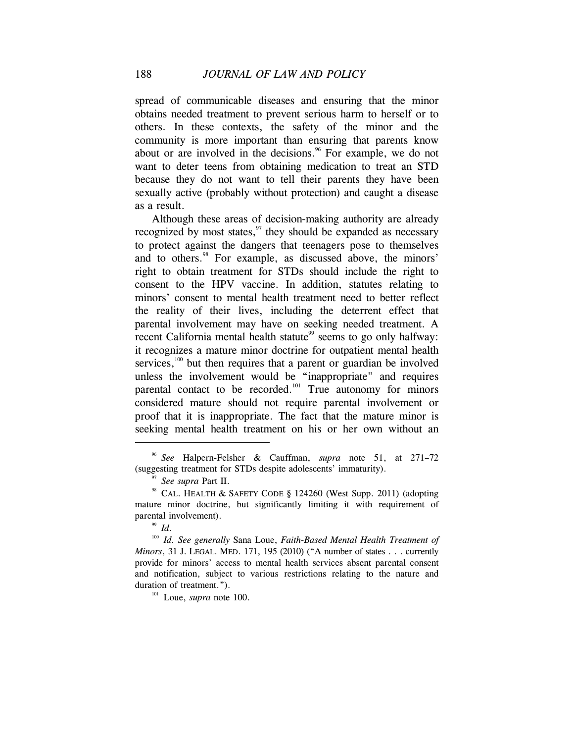spread of communicable diseases and ensuring that the minor obtains needed treatment to prevent serious harm to herself or to others. In these contexts, the safety of the minor and the community is more important than ensuring that parents know about or are involved in the decisions.<sup>96</sup> For example, we do not want to deter teens from obtaining medication to treat an STD because they do not want to tell their parents they have been sexually active (probably without protection) and caught a disease as a result.

Although these areas of decision-making authority are already recognized by most states, $\frac{97}{7}$  they should be expanded as necessary to protect against the dangers that teenagers pose to themselves and to others.<sup>98</sup> For example, as discussed above, the minors' right to obtain treatment for STDs should include the right to consent to the HPV vaccine. In addition, statutes relating to minors' consent to mental health treatment need to better reflect the reality of their lives, including the deterrent effect that parental involvement may have on seeking needed treatment. A recent California mental health statute<sup>99</sup> seems to go only halfway: it recognizes a mature minor doctrine for outpatient mental health services, $100$  but then requires that a parent or guardian be involved unless the involvement would be "inappropriate" and requires parental contact to be recorded.<sup>101</sup> True autonomy for minors considered mature should not require parental involvement or proof that it is inappropriate. The fact that the mature minor is seeking mental health treatment on his or her own without an

 $\overline{\phantom{a}}$ 

<sup>96</sup> *See* Halpern-Felsher & Cauffman, *supra* note 51, at 271–72

<sup>(</sup>suggesting treatment for STDs despite adolescents' immaturity). 97 *See supra* Part II. 98 CAL. HEALTH & SAFETY CODE § 124260 (West Supp. 2011) (adopting mature minor doctrine, but significantly limiting it with requirement of parental involvement).<br><sup>99</sup> *Id.* 

<sup>&</sup>lt;sup>100</sup> Id. See generally Sana Loue, *Faith-Based Mental Health Treatment of Minors*, 31 J. LEGAL. MED. 171, 195 (2010) ("A number of states . . . currently provide for minors' access to mental health services absent parental consent and notification, subject to various restrictions relating to the nature and duration of treatment."). 101 Loue, *supra* note 100.